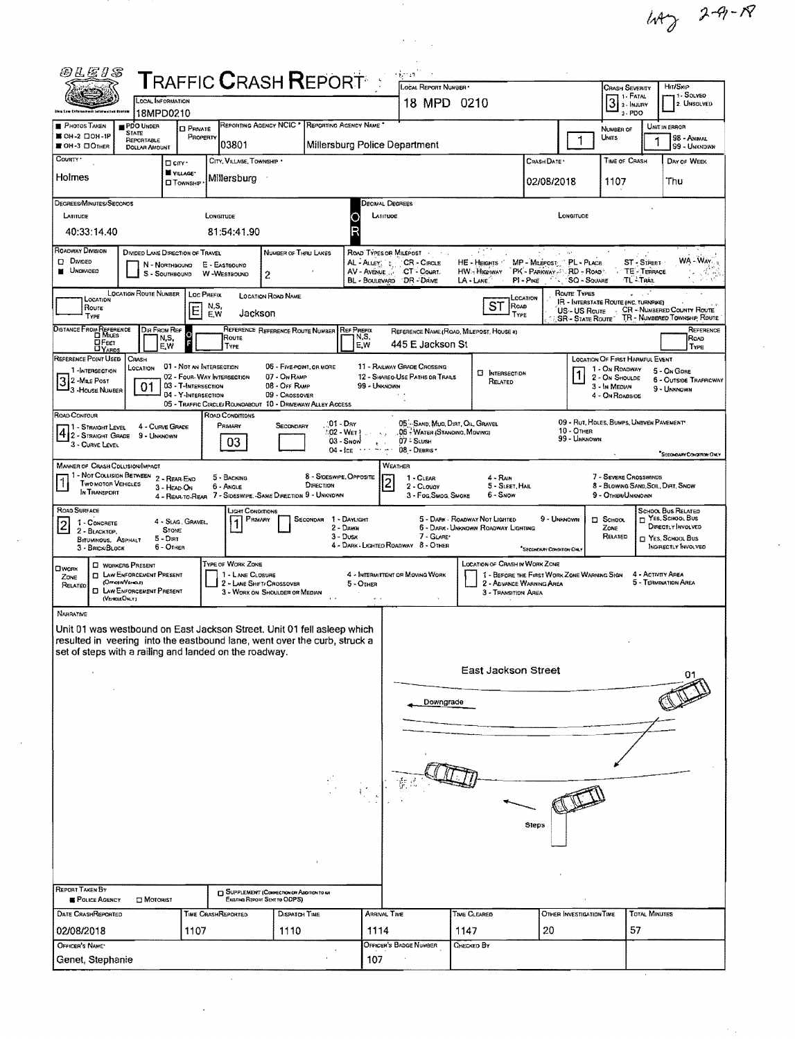$47229 - 18$ 

 $\sim 10^7$ 

 $\mathcal{A}_{\mathcal{A}}$ 

 $\mathcal{F}_{\mathcal{A}}$ 

|                                                                                                                                                      | LOCAL INFORMATION                                  |                                                   |                                       | <b>TRAFFIC CRASH REPORT :</b>                                                 |                                                     | LOCAL REPORT NUMBER                                   |                                                                                      |                           |                                 | <b>CRASH SEVERITY</b><br>3 <sup>1. F</sup> ATAL             |                                                             | HIT/SKIP<br>1 - Solveo      |
|------------------------------------------------------------------------------------------------------------------------------------------------------|----------------------------------------------------|---------------------------------------------------|---------------------------------------|-------------------------------------------------------------------------------|-----------------------------------------------------|-------------------------------------------------------|--------------------------------------------------------------------------------------|---------------------------|---------------------------------|-------------------------------------------------------------|-------------------------------------------------------------|-----------------------------|
|                                                                                                                                                      | 18MPD0210                                          |                                                   |                                       |                                                                               |                                                     | 18 MPD 0210                                           |                                                                                      |                           |                                 | $3 - PDO$                                                   |                                                             | 2. UNSOLVED                 |
| PHOTOS TAKEN                                                                                                                                         | PDO UNDER<br><b>STATE</b>                          | <b>D</b> PRIVATE                                  |                                       | REPORTING AGENCY NCIC * REPORTING AGENCY NAME                                 |                                                     |                                                       |                                                                                      |                           |                                 | NUMBER OF                                                   | UNIT IN ERROR                                               |                             |
| ■ ОН-2 □ ОН-1Р<br>OH-3 DOTHER                                                                                                                        | REPORTABLE<br><b>DOLLAR AMOUNT</b>                 | PROPERTY                                          | 03801                                 |                                                                               | Millersburg Police Department                       |                                                       |                                                                                      |                           | 1                               | UNITS                                                       |                                                             | 98 - ANIMAL<br>99 - UNKNDWN |
| COUNTY <sup>*</sup>                                                                                                                                  | $\square$ cm $\cdot$                               |                                                   | CITY, VILLAGE, TOWNSHIP .             |                                                                               |                                                     |                                                       |                                                                                      | CRASH DATE                |                                 | TIME OF CRASH                                               |                                                             | DAY OF WEEK                 |
| Holmes                                                                                                                                               | VILLAGE*<br><b>O</b> TOWNSHIP                      |                                                   | Millersburg                           |                                                                               |                                                     |                                                       |                                                                                      | 02/08/2018                |                                 | 1107                                                        |                                                             | Thu                         |
|                                                                                                                                                      |                                                    |                                                   |                                       |                                                                               |                                                     |                                                       |                                                                                      |                           |                                 |                                                             |                                                             |                             |
| DEGREES/MINUTES/SECONOS<br>LATITUDE                                                                                                                  |                                                    | LONGITUDE                                         |                                       |                                                                               | <b>DECIMAL DEGREES</b><br>LATITUDE                  |                                                       |                                                                                      |                           | LONGITUDE                       |                                                             |                                                             |                             |
| 40:33:14.40                                                                                                                                          |                                                    |                                                   | 81:54:41.90                           |                                                                               |                                                     |                                                       |                                                                                      |                           |                                 |                                                             |                                                             |                             |
| ROADWAY DIVISION                                                                                                                                     |                                                    |                                                   |                                       |                                                                               |                                                     |                                                       | -11                                                                                  |                           |                                 |                                                             |                                                             |                             |
| $D$ Divideo                                                                                                                                          | DIVIDED LANE DIRECTION OF TRAVEL<br>N - NORTHBOUND |                                                   | E - EASTBOUND                         | NUMBER OF THRU LANES                                                          |                                                     | ROAD TYPES OR MILEPOST<br>AL-Augy, t., CR - Cincus    | HE - HEIGHTS MP - MILEPOST PL - PLACE                                                |                           | $\gamma_{\rm eff} = 2 \pi^2$    |                                                             | ST - STREET                                                 |                             |
| <b>UNOVIDED</b>                                                                                                                                      | S - SOUTHBOUND                                     |                                                   | W-WESTBOUND<br>$\mathbf{2}$           |                                                                               |                                                     | AV - Avenue  CT - Count.<br>BL - BOULEVARD DR - DRIVE | HW-HIGHWAY PK - PARKWAY-" RD - ROAD"<br>$LA$ - LANE                                  | $PI - P$ ike              | <b>SQ - SQUARE</b>              |                                                             | TE-TERRACE<br>TL TRAB                                       |                             |
| LOCATION                                                                                                                                             | <b>LOCATION ROUTE NUMBER</b>                       | Loc Prefix                                        | <b>LOCATION ROAD NAME</b>             |                                                                               |                                                     |                                                       |                                                                                      | LOCATION                  | ROUTE TYPES                     | <b>IR - INTERSTATE ROUTE (INC. TURNPIKE)</b>                |                                                             |                             |
| Roure<br>TYPE                                                                                                                                        |                                                    | N,S,<br>E<br>E.W                                  | Jackson                               |                                                                               |                                                     |                                                       | ST<br>ROAD<br>TYPE                                                                   |                           | US-US Route<br>SR - State Route |                                                             | CR - NUMBERED COUNTY ROUTE<br>TR - NUMBERED TOWNSHIP, RDUTE |                             |
| DISTANCE FROM REFERENCE                                                                                                                              | DIR FROM REF                                       |                                                   |                                       | REFERENCE REFERENCE ROUTE NUMBER                                              | REF PREFIX                                          |                                                       | REFERENCE NAME (ROAD, MILEPOST, HOUSE 4)                                             |                           |                                 |                                                             |                                                             |                             |
| <b>H</b> Feet                                                                                                                                        | N,S,<br>E.W                                        |                                                   | Route<br>TYPE                         |                                                                               | N,S,<br>E.W                                         | 445 E Jackson St                                      |                                                                                      |                           |                                 |                                                             |                                                             |                             |
| REFERENCE POINT USED<br>1-INTERSECTION                                                                                                               | CRASH<br>LOCATION                                  | 01 - NOT AN INTERSECTION                          |                                       | 06 - FIVE POINT, OR MORE                                                      |                                                     | 11 - RAILWAY GRADE CROSSING                           |                                                                                      |                           |                                 | <b>LOCATION OF FIRST HARMFUL EVENT</b><br>1 ON ROADWAY      |                                                             | 5 - On Gore                 |
| 3 2 -Mas Post                                                                                                                                        | 01                                                 | 02 - FOUR-WAY INTERSECTION<br>03 - T-INTERSECTION |                                       | 07 - On RAMP<br>08 - Off RAMP                                                 | 99 - UNKNOWN                                        | 12 - SHAREO-USE PATHS OR TRAILS                       | <b>C INTERSECTION</b><br>RELATED                                                     |                           |                                 | 2 - ON SHOULDE<br>3 - In MEDIAN                             | 6 - OUTSIDE TRAFFICWAY                                      |                             |
| 3 House NUMBER                                                                                                                                       |                                                    | 04 - Y-INTERSECTION                               |                                       | 09 - Crossover<br>05 - TRAFFIC CIRCLEJ ROUNDABOUT 10 - DRIVEWAY/ ALLEY ACCESS |                                                     |                                                       |                                                                                      |                           |                                 | 4 - ON ROADSIDE                                             |                                                             | 9 - UNKNOWN                 |
| ROAD CONTOUR                                                                                                                                         |                                                    |                                                   | <b>ROAD CONDITIONS</b>                |                                                                               |                                                     |                                                       |                                                                                      |                           |                                 |                                                             |                                                             |                             |
| 71 - Straight Level<br>4 2 - STRAIGHT GRADE 9 - UNKNOWN                                                                                              | 4 - CURVE GRADE                                    |                                                   | PRIMARY                               | SECONDARY                                                                     | :01 - Day<br>$02 - W_{ET}$                          | , 06 - WATER (STANDING, MDVING)                       | 05 - SAND, MUO, DIRT, OIL, GRAVEL                                                    |                           | 10 - OTHER<br>99 - UNKNOWN      | 09 - RUT, HOLES, BUMPS, UNEVEN PAVEMENT                     |                                                             |                             |
| 3 - CURVE LEVEL                                                                                                                                      |                                                    |                                                   | 03                                    |                                                                               | $03 -$ Snow<br>$\epsilon \rightarrow$<br>$04 - 1cE$ | 07 - Susa<br>08 - DEBRIS *                            |                                                                                      |                           |                                 |                                                             |                                                             | SECONDARY CONTROL ONLY      |
| MANNER OF CRASH COLLISION/MPACT                                                                                                                      |                                                    |                                                   |                                       |                                                                               |                                                     | WEATHER                                               |                                                                                      |                           |                                 |                                                             |                                                             |                             |
| 71 - Not Collision Between 2 - Rear-End<br><b>TWO MOTOR VEHICLES</b>                                                                                 | 3 - HEAD ON                                        |                                                   | 5 - BACKING<br>6 - Angle              | DIRECTION                                                                     | 8 - SIDESWIPE OPPOSITE<br>$\tilde{2}$               | 1 - CLEAR<br>2 - CLOUDY                               | 4 - RAIN<br>5 - SLEET, MAIL                                                          |                           |                                 | 7 - Severe Crosswinds<br>8 - BLOWING SAND, SOIL, DIRT, SNOW |                                                             |                             |
| In TRANSPORT                                                                                                                                         |                                                    |                                                   |                                       | 4 - REAR-TO-REAR 7 - SIDESWIPE, -SAME DIRECTION 9 - UNKNOWN                   |                                                     | 3 - Fog, Smog, Smoke                                  | 6 - Snow                                                                             |                           |                                 | 9 - OTHER/UNKNOWN                                           |                                                             |                             |
| ROAD SURFACE<br>1 - CONCRETE                                                                                                                         | 4 - SLAG, GRAVEL,                                  |                                                   | LIGHT CONDITIONS<br>PRMARY            |                                                                               | SECONDAR 1 - DAYLIGHT                               |                                                       | 5 - DARK - ROADWAY NOT LIGHTED                                                       | 9 - UNKNOWN               |                                 | $\square$ School                                            | <b>SCHOOL BUS RELATED</b><br>YES. SCHOOL BUS                |                             |
| $\overline{2}$<br>2 - BLACKTOP,<br><b>BITUMINOUS, ASPHALT</b>                                                                                        | <b>STONE</b><br>$5 - Dir$                          |                                                   |                                       |                                                                               | 2 - Dawn<br>$3 - D$ USK                             | 7 - GLARE'                                            | 6 - DARK - UNKNOWN ROADWAY LIGHTING                                                  |                           |                                 | ZONE<br>RELATED                                             | DIRECTLY INVOLVED<br>T YES, SCHOOL BUS                      |                             |
| 3 - BRICK/BLOCK                                                                                                                                      | 6 - OTHER                                          |                                                   |                                       |                                                                               | 4 - DARK - LIGHTED ROADWAY 8 - OTHER                |                                                       |                                                                                      | "SECONDARY CONDITION ONLY |                                 |                                                             | INDIRECTLY INVOLVED                                         |                             |
| C WORKERS PRESENT<br><b>CIWORK</b>                                                                                                                   | <b>CI LAW ENFORCEMENT PRESENT</b>                  |                                                   | TYPE OF WORK ZONE<br>1 - LANE CLOSURE |                                                                               |                                                     | 4 - INTERMITTENT OR MOVING WORK                       | <b>LOCATION OF CRASH IN WORK ZONE</b><br>1 - BEFORE THE FIRST WORK ZONE WARNING SIGN |                           |                                 |                                                             | 4 - ACTIVITY AREA                                           |                             |
| ZONE<br>(OrrestWance)<br>RELATED                                                                                                                     | <b>EL LAW ENFORCEMENT PRESENT</b>                  |                                                   | 2 - LANE SHET/ CROSSOVER              | 3 - WORK ON SHOULDER OR MEDIAN                                                | 5 - OTHER                                           |                                                       | 2 - ADVANCE WARNING AREA                                                             |                           |                                 |                                                             | 5 - TERMINATION AREA                                        |                             |
| (VENCLEOMLY)                                                                                                                                         |                                                    |                                                   |                                       |                                                                               |                                                     |                                                       | 3 - TRANSITION AREA                                                                  |                           |                                 |                                                             |                                                             |                             |
| NARRATIVE                                                                                                                                            |                                                    |                                                   |                                       |                                                                               |                                                     |                                                       |                                                                                      |                           |                                 |                                                             |                                                             |                             |
| Unit 01 was westbound on East Jackson Street. Unit 01 fell asleep which<br>resulted in veering into the eastbound lane, went over the curb, struck a |                                                    |                                                   |                                       |                                                                               |                                                     |                                                       |                                                                                      |                           |                                 |                                                             |                                                             |                             |
| set of steps with a railing and landed on the roadway.                                                                                               |                                                    |                                                   |                                       |                                                                               |                                                     |                                                       |                                                                                      |                           |                                 |                                                             |                                                             |                             |
|                                                                                                                                                      |                                                    |                                                   |                                       |                                                                               |                                                     |                                                       | East Jackson Street                                                                  |                           |                                 |                                                             |                                                             |                             |
|                                                                                                                                                      |                                                    |                                                   |                                       |                                                                               |                                                     |                                                       |                                                                                      |                           |                                 |                                                             |                                                             |                             |
|                                                                                                                                                      |                                                    |                                                   |                                       |                                                                               |                                                     |                                                       |                                                                                      |                           |                                 |                                                             |                                                             |                             |
|                                                                                                                                                      |                                                    |                                                   |                                       |                                                                               |                                                     | Downgrade                                             |                                                                                      |                           |                                 |                                                             |                                                             |                             |
|                                                                                                                                                      |                                                    |                                                   |                                       |                                                                               |                                                     |                                                       |                                                                                      |                           |                                 |                                                             |                                                             |                             |
|                                                                                                                                                      |                                                    |                                                   |                                       |                                                                               |                                                     |                                                       |                                                                                      |                           |                                 |                                                             |                                                             |                             |
|                                                                                                                                                      |                                                    |                                                   |                                       |                                                                               |                                                     |                                                       |                                                                                      |                           |                                 |                                                             |                                                             |                             |
|                                                                                                                                                      |                                                    |                                                   |                                       |                                                                               |                                                     |                                                       |                                                                                      |                           |                                 |                                                             |                                                             |                             |
|                                                                                                                                                      |                                                    |                                                   |                                       |                                                                               |                                                     |                                                       |                                                                                      |                           |                                 |                                                             |                                                             |                             |
|                                                                                                                                                      |                                                    |                                                   |                                       |                                                                               |                                                     |                                                       |                                                                                      |                           |                                 |                                                             |                                                             |                             |
|                                                                                                                                                      |                                                    |                                                   |                                       |                                                                               |                                                     |                                                       |                                                                                      | Steps                     |                                 |                                                             |                                                             |                             |
|                                                                                                                                                      |                                                    |                                                   |                                       |                                                                               |                                                     |                                                       |                                                                                      |                           |                                 |                                                             |                                                             |                             |
|                                                                                                                                                      |                                                    |                                                   |                                       |                                                                               |                                                     |                                                       |                                                                                      |                           |                                 |                                                             |                                                             |                             |
|                                                                                                                                                      |                                                    |                                                   |                                       |                                                                               |                                                     |                                                       |                                                                                      |                           |                                 |                                                             |                                                             |                             |
| <b>REPORT TAKEN BY</b>                                                                                                                               |                                                    |                                                   |                                       | SUPPLEMENT (CORRECTION OR ADDITION TO AN                                      |                                                     |                                                       |                                                                                      |                           |                                 |                                                             |                                                             |                             |
| POLICE AGENCY                                                                                                                                        | <b>DI</b> MOTORIST                                 |                                                   | Existing Report Sent to ODPS)         |                                                                               |                                                     |                                                       |                                                                                      |                           |                                 |                                                             |                                                             |                             |
| DATE CRASHREPORTED                                                                                                                                   |                                                    | <b>TIME CRASHREPORTED</b>                         |                                       | DISPATCH TIME                                                                 | <b>ARRIVAL TIME</b>                                 |                                                       | TIME CLEARED                                                                         |                           | OTHER INVESTIGATION TIME        |                                                             | <b>TOTAL MINUTES</b>                                        |                             |
| 02/08/2018<br>OFFICER'S NAME                                                                                                                         |                                                    | 1107                                              |                                       | 1110                                                                          | 1114                                                | <b>OFFICER'S BADGE NUMBER</b>                         | 1147<br>Снескер Ву                                                                   | 20                        |                                 |                                                             | 57                                                          |                             |

 $\sim 10^{-10}$ 

 $\mathcal{O}(\frac{1}{\epsilon})$ 

 $\label{eq:2} \frac{1}{\sqrt{2\pi}}\sum_{i=1}^n\frac{1}{\sqrt{2\pi}}\sum_{i=1}^n\frac{1}{\sqrt{2\pi}}\sum_{i=1}^n\frac{1}{\sqrt{2\pi}}\sum_{i=1}^n\frac{1}{\sqrt{2\pi}}\sum_{i=1}^n\frac{1}{\sqrt{2\pi}}\sum_{i=1}^n\frac{1}{\sqrt{2\pi}}\sum_{i=1}^n\frac{1}{\sqrt{2\pi}}\sum_{i=1}^n\frac{1}{\sqrt{2\pi}}\sum_{i=1}^n\frac{1}{\sqrt{2\pi}}\sum_{i=1}^n\frac{$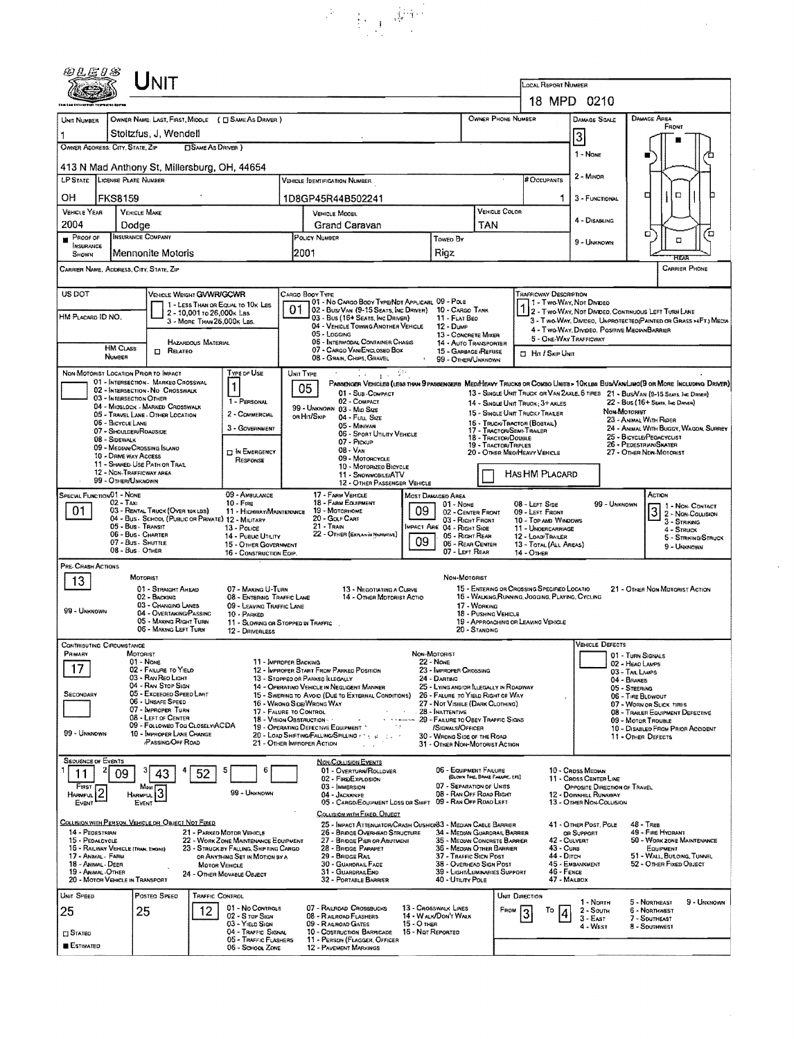|                                                                           | Unit                                                                      |                                                         |                                                                          |           |                                                                                               |                                                       |                                                                       |                                     |                                                                          |                                                                                                |                                                                                                                                                                                                                    |                                                                                    |                                       |
|---------------------------------------------------------------------------|---------------------------------------------------------------------------|---------------------------------------------------------|--------------------------------------------------------------------------|-----------|-----------------------------------------------------------------------------------------------|-------------------------------------------------------|-----------------------------------------------------------------------|-------------------------------------|--------------------------------------------------------------------------|------------------------------------------------------------------------------------------------|--------------------------------------------------------------------------------------------------------------------------------------------------------------------------------------------------------------------|------------------------------------------------------------------------------------|---------------------------------------|
|                                                                           |                                                                           |                                                         |                                                                          |           |                                                                                               |                                                       |                                                                       |                                     |                                                                          | LOCAL REPORT NUMBER                                                                            |                                                                                                                                                                                                                    |                                                                                    |                                       |
|                                                                           |                                                                           |                                                         |                                                                          |           |                                                                                               |                                                       |                                                                       |                                     |                                                                          |                                                                                                | 18 MPD 0210                                                                                                                                                                                                        |                                                                                    |                                       |
| UNIT NUMBER                                                               | OWNER NAME: LAST, FIRST, MIDDLE ( C SAME AS DRIVER )                      |                                                         |                                                                          |           |                                                                                               |                                                       |                                                                       |                                     | OWNER PHONE NUMBER                                                       |                                                                                                | DAMAGE SCALE                                                                                                                                                                                                       | DAMAGE AREA<br>FRONT                                                               |                                       |
| 1<br>OWNER ADDRESS: CITY, STATE, ZIP                                      | Stoltzfus, J. Wendell                                                     |                                                         |                                                                          |           |                                                                                               |                                                       |                                                                       | 3                                   |                                                                          |                                                                                                |                                                                                                                                                                                                                    |                                                                                    |                                       |
| <b>CISAME AS DRIVER</b> )<br>413 N Mad Anthony St, Millersburg, OH, 44654 |                                                                           |                                                         |                                                                          |           |                                                                                               |                                                       |                                                                       |                                     |                                                                          | 1 - None                                                                                       |                                                                                                                                                                                                                    |                                                                                    |                                       |
| LP STATE LICENSE PLATE NUMBER                                             |                                                                           |                                                         | VEHICLE IDENTIFICATION NUMBER                                            |           |                                                                                               |                                                       |                                                                       |                                     | 2 - MINOR                                                                |                                                                                                |                                                                                                                                                                                                                    |                                                                                    |                                       |
| он<br><b>FKS8159</b>                                                      |                                                                           |                                                         |                                                                          |           | 1D8GP45R44B502241                                                                             |                                                       |                                                                       |                                     |                                                                          | ı                                                                                              | 3 - FUNCTIONAL                                                                                                                                                                                                     | о                                                                                  | $\Box$                                |
| VEHICLE YEAR<br><b>VEHICLE MAKE</b>                                       |                                                                           |                                                         |                                                                          |           | VEHICLE MOOEL                                                                                 |                                                       |                                                                       |                                     | VEHICLE COLOR                                                            |                                                                                                |                                                                                                                                                                                                                    |                                                                                    |                                       |
| 2004                                                                      | Dodge                                                                     |                                                         |                                                                          |           | Grand Caravan                                                                                 |                                                       |                                                                       |                                     | TAN                                                                      |                                                                                                | 4 - DISABLING                                                                                                                                                                                                      | а                                                                                  | ם                                     |
| PROOF OF<br>INSURANCE<br>SHOWN                                            | <b>INSURANCE COMPANY</b><br>Mennonite Motoris                             |                                                         |                                                                          |           | POLICY NUMBER<br>2001                                                                         |                                                       | Towen By<br>Rigz                                                      |                                     |                                                                          |                                                                                                | 9 - Unknown                                                                                                                                                                                                        |                                                                                    | α                                     |
| CARRIER NAME, ADDRESS, CITY, STATE, ZIP                                   |                                                                           |                                                         |                                                                          |           |                                                                                               |                                                       |                                                                       |                                     |                                                                          |                                                                                                |                                                                                                                                                                                                                    |                                                                                    | <b>CARRIER PHONE</b>                  |
|                                                                           |                                                                           |                                                         |                                                                          |           |                                                                                               |                                                       |                                                                       |                                     |                                                                          |                                                                                                |                                                                                                                                                                                                                    |                                                                                    |                                       |
| US DOT                                                                    | VEHICLE WEIGHT GWWR/GCWR                                                  |                                                         | 1 - LESS THAN OR EQUAL TO 10K LBS                                        |           | CARGO BOOY TYPE<br>01 - No CARGO BOOY TYPE/NOT APPLICABL 09 - POLE                            |                                                       |                                                                       |                                     |                                                                          | TRAFFICWAY DESCRIPTION<br>1 - Two-Way, Not Divideo                                             |                                                                                                                                                                                                                    |                                                                                    |                                       |
| HM PLACARD ID NO.                                                         |                                                                           | 2 - 10,001 to 26,000x Las<br>3 - MORE THAN 26,000K LBS. |                                                                          | 01        | 02 - Bus/VAN (9-15 SEATS, INC DRIVER) 10 - CARGO TANK<br>03 - Bus (16+ Seats, Inc Driver)     |                                                       | 11 - FLAT BEO                                                         |                                     |                                                                          |                                                                                                | 1 2 - Two-Way, Not Divideo, Continuous Left Turn Lane<br>3 - Two-WAY, DIVIDEO, UNPROTECTED (PAINTED OR GRASS >4FT.) MEDIA                                                                                          |                                                                                    |                                       |
|                                                                           |                                                                           |                                                         |                                                                          |           | 04 - VEHICLE TOWING ANOTHER VEHICLE<br>05 - Losging<br>06 - INTERMODAL CONTAINER CHASIS       |                                                       | 12 - Dump<br>13 - CONCRETE MIXER                                      |                                     |                                                                          | 5 - ONE-WAY TRAFFICWAY                                                                         | 4 - Two-WAY, DIVIDEO, POSITIVE MEOIANBARRIER                                                                                                                                                                       |                                                                                    |                                       |
| <b>HM CLASS</b><br><b>NUMBER</b>                                          | RELATEO<br>$\Box$                                                         | HAZARDOUS MATERIAL                                      |                                                                          |           | 07 - CARGO VAN/ENCLOSEO BOX<br>08 - Grain, Chips, Gravel                                      |                                                       | 14 - AUTO TRANSPORTER<br>15 - GARBAGE /REFUSE<br>99 - OTHER/UNKNOWN   |                                     |                                                                          | <b>D</b> Hn / Skip Unit                                                                        |                                                                                                                                                                                                                    |                                                                                    |                                       |
| NON-MOTORIST LOCATION PRIOR TO IMPACT                                     |                                                                           |                                                         | Type of Use                                                              | UNIT TYPE |                                                                                               | $\frac{1}{4}$ , $\frac{1}{2}$                         |                                                                       |                                     |                                                                          |                                                                                                |                                                                                                                                                                                                                    |                                                                                    |                                       |
|                                                                           | 01 - INTERSECTION MARKED CROSSWAL<br>02 - INTERSECTION - NO CROSSWALK     |                                                         |                                                                          |           | 05<br>01 - Sua - COMPACT                                                                      |                                                       |                                                                       |                                     |                                                                          |                                                                                                | PASSENGER VEHICLES (LESS THAN 9 PASSENGERS MEDIMEAVY TRUCKS OR COMBO UNITS > 10KLBS BUS/VAN/LIMO(9 OR MORE INCLUDING DRIVER)<br>13 - SINGLE UNIT TRUCK OR VAN ZAXLE, 6 TIRES 21 - BUS/VAN (9-15 SEATS, INC DRIVER) |                                                                                    |                                       |
|                                                                           | 03 - INTERSECTION OTHER<br>04 - MIOSLOCK - MARKED CROSSWALK               |                                                         | 1 - PERSONAL                                                             |           | 02 - COMPACT<br>99 - UNKNOWN 03 - MID SIZE                                                    |                                                       |                                                                       |                                     |                                                                          | 14 - SINGLE UNIT TRUCK: 3+ AXLES                                                               |                                                                                                                                                                                                                    | 22 - Bus (16+ Seats, Inc Dance)                                                    |                                       |
| 06 - BICYCLE LANE                                                         | 05 - TRAVEL LANE - OTHER LOCATION                                         |                                                         | 2 - COMMERCIAL<br>3 - GOVERNMENT                                         |           | or Hit/Skip<br>04 - FutL Size<br>05 - MINIVAN                                                 |                                                       |                                                                       |                                     |                                                                          | 15 - SINGLE UNIT TRUCK / TRABER<br>16 - TRUCK/TRACTOR (BOBTAIL)                                |                                                                                                                                                                                                                    | Non-Mororust<br>23 - ANIMAL WITH RIDER                                             |                                       |
| 08 - Sidewalk                                                             | 07 - SHOULDER/ROADSIDE                                                    |                                                         |                                                                          |           | 07 - Pickup                                                                                   | 06 - Sport UTILITY VEHICLE                            |                                                                       |                                     | 17 - TRACTOR/SEMI-TRAILER<br>18 - TRACTOR/DOUBLE<br>19 - TRACTOR/TRIPLES |                                                                                                |                                                                                                                                                                                                                    | 25 - BICYCLE/PEOACYCLIST<br>26 - PEDESTRIAN/SKATER                                 | 24 - ANIMAL WITH BUGGY, WAGON, SURREY |
| 10 - DANE WAY ACCESS                                                      | 09 - MEDIAN/CROSSING ISLANO                                               |                                                         | <b>DIN EMERGENCY</b><br>RESPONSE                                         |           | $08 - V_{AN}$<br>09 - Motoncycle                                                              |                                                       |                                                                       |                                     |                                                                          | 20 - OTHER MEO/HEAVY VEHICLE                                                                   |                                                                                                                                                                                                                    | 27 - OTHER NON-MOTORIST                                                            |                                       |
|                                                                           | 11 - SHARED USE PATH OR TRAIL<br>12 - NON-TRAFFICWAY AREA                 |                                                         |                                                                          |           | 10 - Motorizeo Bicycle<br>11 - SNOWMOBILE/ATV                                                 |                                                       |                                                                       |                                     |                                                                          | HAS HM PLACARD                                                                                 |                                                                                                                                                                                                                    |                                                                                    |                                       |
| 99 - OTHER/UNKNOWN<br>SPECIAL FUNCTION 01 - NONE                          |                                                                           |                                                         | 09 - AMBULANCE                                                           |           | 17 - FARM VEHICLE                                                                             | 12 - OTHER PASSENGER VEHICLE                          | MOST DAMAGEO AREA                                                     |                                     |                                                                          |                                                                                                |                                                                                                                                                                                                                    | Астюм                                                                              |                                       |
| $02 - T_{AM}$<br>01                                                       | 03 - RENTAL TRUCK (OVER 10KLBS)                                           |                                                         | $10 -$ FIRE<br>11 - HIGHWAY/MAINTENANCE                                  |           | <b>18 - FARM EQUIPMENT</b><br>19 - Мотовноме                                                  | 09                                                    | 01 None                                                               | 02 - CENTER FRONT                   |                                                                          | 08 - LEFT SIDE<br>09 - LEFT FRONT                                                              | 99 - UNKNOWN                                                                                                                                                                                                       | $\overline{\mathsf{B}}$                                                            | 1 - Non-Contact<br>2 - Non-Collision  |
|                                                                           | 04 - Bus - School (Public or Private) 12 - Military<br>05 - Bus - Transit |                                                         | 13 - POLICE                                                              |           | 20 - GOLF CART<br>21 - Train                                                                  |                                                       | MPACT ARE 04 - RIGHT SIDE                                             | 03 - RIGHT FRONT                    |                                                                          | 10 - TOP AND WINDOWS<br>11 - UNOERCARRIAGE                                                     |                                                                                                                                                                                                                    |                                                                                    | 3 - STRIKING<br>4 - STRUCK            |
|                                                                           | 06 - Bus - Charter<br>07 - Bus - SHUTTLE                                  |                                                         | 14 - Pusuc UTILITY<br>15 - OTHER GOVERNMENT                              |           | 22 - OTHER (EXPLAN IN NAPRATIVE)                                                              | 09                                                    |                                                                       | 05 - RIGHT REAR<br>06 - REAR CENTER |                                                                          | 12 - LOAD! TRAILER<br>13 - TOTAL (ALL AREAS)                                                   |                                                                                                                                                                                                                    |                                                                                    | 5 - STRIKING/STRUCK<br>9 - UNKNOWN    |
| PRE-CRASH ACTIONS                                                         | 08 - Bus - OTHER                                                          |                                                         | 16 - CONSTRUCTION EQIP.                                                  |           |                                                                                               |                                                       |                                                                       | 07 - LEFT REAR                      |                                                                          | 14 - Отнея                                                                                     |                                                                                                                                                                                                                    |                                                                                    |                                       |
| 13                                                                        | MOTORIST                                                                  |                                                         |                                                                          |           |                                                                                               |                                                       |                                                                       | NON-MOTORIST                        |                                                                          |                                                                                                |                                                                                                                                                                                                                    |                                                                                    |                                       |
|                                                                           | 01 - STRAIGHT AHEAD<br>02 - BACKING                                       |                                                         | 07 - MAKING U-TURN<br>08 - ENTERING TRAFFIC LANE                         |           |                                                                                               | 13 - NEGOTIATING A CURVE<br>14 - OTHER MOTORIST ACTIO |                                                                       |                                     |                                                                          | 15 - ENTERING OR CROSSING SPECIFIED LOCATIO<br>16 - WALKING RUNNING, JOGGING, PLAYING, CYCLING |                                                                                                                                                                                                                    | 21 - OTHER NON-MOTORIST ACTION                                                     |                                       |
| 99 - Unknown                                                              | 03 - CHANGING LANES<br>04 - OVERTAKING/PASSING                            |                                                         | 09 - LEAVING TRAFFIC LANE<br>10 - PARKED                                 |           |                                                                                               |                                                       |                                                                       | 17 - WORKING                        | 18 - PUSHING VEHICLE                                                     |                                                                                                |                                                                                                                                                                                                                    |                                                                                    |                                       |
|                                                                           | 05 - MAKING RIGHT TURN<br>06 - MAKING LEFT TURN                           |                                                         | 11 - SLOWING OR STOPPED IN TRAFFIC<br>12 - DRIVERLESS                    |           |                                                                                               |                                                       |                                                                       | 20 - STANDING                       |                                                                          | 19 - APPROACHING OR LEAVING VEHICLE                                                            |                                                                                                                                                                                                                    |                                                                                    |                                       |
| <b>CONTRIBUTING CIRCUMSTANCE</b>                                          |                                                                           |                                                         |                                                                          |           |                                                                                               |                                                       |                                                                       |                                     |                                                                          |                                                                                                | <b>VEHICLE DEFECTS</b>                                                                                                                                                                                             |                                                                                    |                                       |
| PRIMARY                                                                   | MOTORIST<br>01 - None<br>02 - FAILURE TO YIELD                            |                                                         | 11 - IMPROPER BACKING                                                    |           | 12 - IMPROPER START FROM PARKED POSITION                                                      |                                                       | NON-MOTORIST<br>22 - NONE<br>23 - IMPROPER CROSSING                   |                                     |                                                                          |                                                                                                |                                                                                                                                                                                                                    | 01 - TURN SIGNALS<br>02 - HEAD LAMPS                                               |                                       |
|                                                                           | 03 - Ran Reo Light<br>04 - RAN STOP SIGN                                  |                                                         |                                                                          |           | 13 - STOPPEO OR PARKED LLEGALLY<br>14 - OPERATING VEHICLE IN NEGLIGENT MANNER                 |                                                       | 24 - DARTING<br>25 - LYING AND/OR ILLEGALLY IN ROADWAY                |                                     |                                                                          |                                                                                                |                                                                                                                                                                                                                    | 03 - TAIL LAMPS<br>04 - BRAKES                                                     |                                       |
| SECONDARY                                                                 | 05 - Exceeded Speed LIMIT<br>06 - LINSAFF SPFED                           |                                                         |                                                                          |           | 15 - Swering to Avoid (Due to External Conditions)<br>16 - Wrong Side/Wrong WAY               |                                                       | 26 - FALURE TO YIELD RIGHT OF WAY<br>27 - Not Visible (Dark Clothung) |                                     |                                                                          |                                                                                                |                                                                                                                                                                                                                    | 05 - STEERING<br>06 - TIRE BLOWOUT                                                 |                                       |
|                                                                           | 07 - IMPROPER TURN<br>08 - LEFT OF CENTER                                 |                                                         | 17 - FALURE TO CONTROL                                                   |           | 18 - VISION OBSTRUCTION -                                                                     |                                                       | 28 - INATTENTIVE<br>29 - FAILURE TO OBEY TRAFFIC SIGNS                |                                     |                                                                          |                                                                                                |                                                                                                                                                                                                                    | 07 - WORN OR SLICK TIRES<br>08 - TRAILER EQUIPMENT DEFECTIVE<br>09 - Motor Trouale |                                       |
| 99 - UNKNOWN                                                              | 09 - Followed Too Closely/ACDA<br>10 - IMPROPER LANE CHANGE               |                                                         |                                                                          |           | 19 - OPERATING DEFECTIVE EQUIPMENT<br>20 - LOAD SHIFTING/FALLING/SPILLING : 1 + 1             | ٠,                                                    | /SIGNALS/OFFICER<br>30 - WRONG SIDE OF THE ROAD                       |                                     |                                                                          |                                                                                                |                                                                                                                                                                                                                    | 10 - DISABLED FROM PRIOR ACCIDENT<br>11 - OTHER DEFECTS                            |                                       |
|                                                                           | <b>PASSING OFF ROAD</b>                                                   |                                                         |                                                                          |           | 21 - OTHER IMPROPER ACTION                                                                    |                                                       | 31 - Other Non-Motorist Action                                        |                                     |                                                                          |                                                                                                |                                                                                                                                                                                                                    |                                                                                    |                                       |
| <b>SEQUENCE OF EVENTS</b>                                                 |                                                                           |                                                         |                                                                          |           | <b>NON-COLLISION EVENTS</b><br>01 - OVERTURN/ROLLOVER                                         |                                                       | 06 - EQUIPMENT FAILURE                                                |                                     |                                                                          |                                                                                                | 10 - Cross Median                                                                                                                                                                                                  |                                                                                    |                                       |
| 11<br>09<br>FIRST                                                         | Most                                                                      | 52                                                      |                                                                          |           | 02 - FIRE/EXPLOSION<br>03 - IMMERSION                                                         |                                                       | 07 - SEPARATION OF UNITS                                              |                                     | (BLOWN TINE, BRAKE FAILURE, ETC)                                         |                                                                                                | 11 - CROSS CENTER LINE<br>OPPOSITE DIRECTION OF TRAVEL                                                                                                                                                             |                                                                                    |                                       |
| Harmful<br>EVENT                                                          | 3<br><b>HARMFUL</b><br>EVENT                                              |                                                         | 99 - UNKNOWN                                                             |           | 04 - JACKKNIFE<br>05 - CARGO/EOU/PMENT LOSS OR SHIFT 09 - RAN OFF ROAD LEFT                   |                                                       | 08 - RAN OFF ROAD RIGHT                                               |                                     |                                                                          |                                                                                                | 12 - DOWNHILL RUNAWAY<br>13 - OTHER NON-COLLISION                                                                                                                                                                  |                                                                                    |                                       |
| COLLISION WITH PERSON, VEHICLE OR OBJECT NOT FIXED                        |                                                                           |                                                         |                                                                          |           | COLLISION WITH FIXED, OBJECT<br>25 - IMPACT ATTENUATOR/CRASH CUSHION83 - MEDIAN CABLE BARRIER |                                                       |                                                                       |                                     |                                                                          |                                                                                                | 41 - OTHER POST, POLE                                                                                                                                                                                              | $48 - T$ REE                                                                       |                                       |
| 14 - PEDESTRIAN<br>15 - PEDALCYCLE                                        |                                                                           |                                                         | 21 - PARKED MOTOR VEHICLE<br>22 - WORK ZONE MAINTENANCE EQUIPMENT        |           | 26 - BRIDGE OVERHEAD STRUCTURE<br>27 - BRIDGE PIER OR ABUTMENT                                |                                                       |                                                                       |                                     | 34 - MEDIAN GUARDRAIL BARRIER<br>35 - Median Concrete Barrier            |                                                                                                | OR SUPPORT<br>42 - CULVERT                                                                                                                                                                                         | 49 - FIRE HYDRANT<br>50 - WORK ZONE MAINTENANCE                                    |                                       |
| 16 - RAILWAY VEHICLE (TRAN, ENGINE)<br>17 - Animal - Farm                 |                                                                           |                                                         | 23 - STRUCK BY FALLING, SHIFTING CARGO<br>OR ANYTHING SET IN MOTION BY A |           | 28 - BROGE PARAPET<br>29 - BRIDGE RAIL                                                        |                                                       | 37 - TRAFFIC SICN POST                                                |                                     | 36 - Median Other Barrier                                                | 43 - Cuna<br>44 - Dirch                                                                        |                                                                                                                                                                                                                    | EQUIPMENT<br>51 - WALL, BULOING, TUNNEL                                            |                                       |
| 18 - Animal - Deer<br>19 - ANMAL-OTHER                                    |                                                                           | <b>MOTOR VEHICLE</b>                                    | 24 - Отнен Моуавье Овлест                                                |           | 30 - GUARDRAIL FACE<br>31 - GUARDRAILEND                                                      |                                                       | 38 - OVERHEAD SIGN POST                                               |                                     | 39 - LIGHT/LUMINARIES SUPPORT                                            | 46 - FENCE                                                                                     | 45 - Емаалкмент                                                                                                                                                                                                    | 52 - OTHER FIXED OBJECT                                                            |                                       |
| 20 - MOTOR VEHICLE IN TRANSPORT                                           |                                                                           |                                                         |                                                                          |           | 32 - PORTABLE BARRIER                                                                         |                                                       | 40 - UTILITY POLE                                                     |                                     |                                                                          | 47 - MAILBOX                                                                                   |                                                                                                                                                                                                                    |                                                                                    |                                       |
| UNIT SPEED<br>25                                                          | POSTED SPEED<br>25                                                        | <b>TRAFFIC CONTROL</b><br>12                            | 01 - No Controls                                                         |           | 07 - RAILROAD CROSSBUCKS                                                                      |                                                       | 13 - CROSSWALK LINES                                                  |                                     | UNIT DIRECTION<br>FROM                                                   | То                                                                                             | 1 - North<br>$2 -$ South                                                                                                                                                                                           | 5 - NORTHEAST<br>6 - NORTHWEST                                                     | 9 - Unknown                           |
|                                                                           |                                                                           |                                                         | 02 - S TOP SIGN<br>03 - YIELD SIGN                                       |           | 08 - RALROAD FLASHERS<br>09 - RALROAD GATES                                                   | $15 - O$ THER                                         | 14 - WALK/DON'T WALK                                                  |                                     |                                                                          | 4                                                                                              | $3 - East$<br>4 - West                                                                                                                                                                                             | 7 - SOUTHEAST<br>8 - Southwest                                                     |                                       |
| <b>CI</b> STATED<br><b>ESTIMATED</b>                                      |                                                                           |                                                         | 04 - Traffic Signal<br>05 - TRAFFIC FLASHERS                             |           | 10 - COSTRUCTION BARRICADE<br>11 - PERSON (FLAGGER, OFFICER                                   |                                                       | 16 - Not Reported                                                     |                                     |                                                                          |                                                                                                |                                                                                                                                                                                                                    |                                                                                    |                                       |
|                                                                           |                                                                           |                                                         | 06 - SCHOOL ZONE                                                         |           | <b>12 - PAVEMENT MARKINGS</b>                                                                 |                                                       |                                                                       |                                     |                                                                          |                                                                                                |                                                                                                                                                                                                                    |                                                                                    |                                       |

 $\label{eq:2} \alpha^{(k)} = \frac{1}{2} \sum_{\substack{ \alpha \in \mathbb{N}^* \\ \alpha \in \mathbb{N}^*}} \frac{1}{\alpha^{(k)}_{\alpha} \mathcal{F}^{\alpha}}.$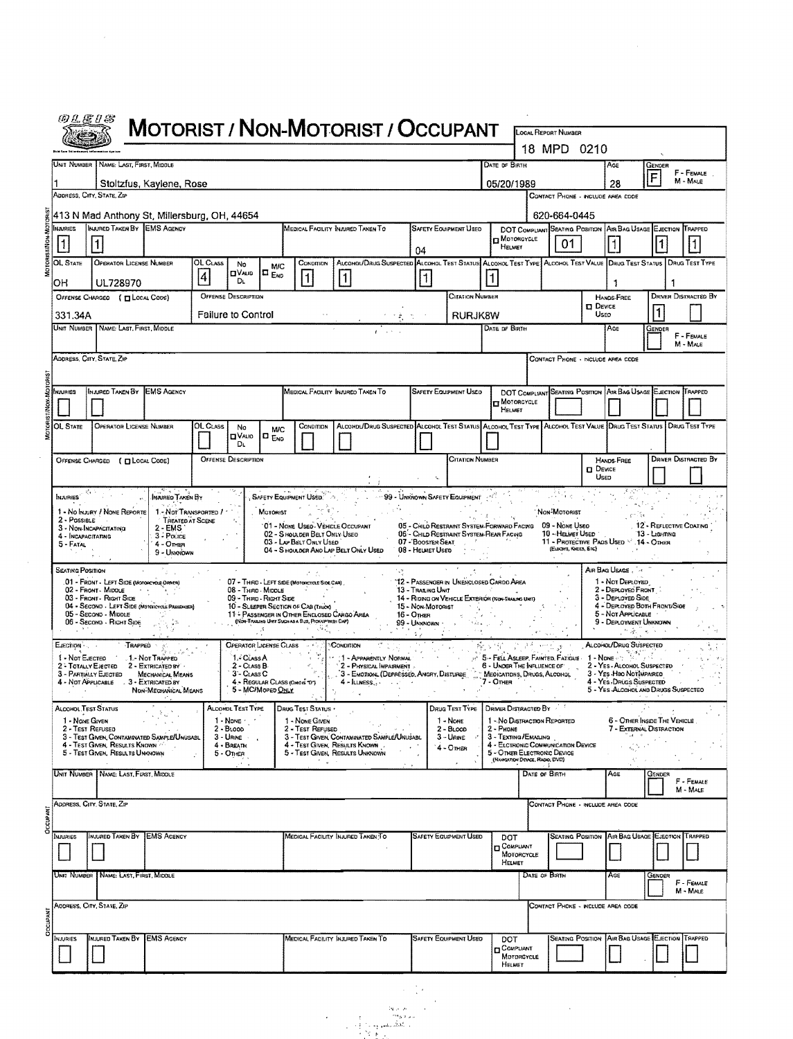|                                                                                |                                                                                                                                                                      |                                 |                                                                                                                                                                                                                          |                                                                           | <b>MOTORIST / NON-MOTORIST / OCCUPANT</b>                                                                         |                                                                         |                                                                        |                                                                                                                                                                        | LOCAL REPORT NUMBER<br>18 MPD 0210                                                 |                                                |                                                                                                                                                            |               |                                                   |
|--------------------------------------------------------------------------------|----------------------------------------------------------------------------------------------------------------------------------------------------------------------|---------------------------------|--------------------------------------------------------------------------------------------------------------------------------------------------------------------------------------------------------------------------|---------------------------------------------------------------------------|-------------------------------------------------------------------------------------------------------------------|-------------------------------------------------------------------------|------------------------------------------------------------------------|------------------------------------------------------------------------------------------------------------------------------------------------------------------------|------------------------------------------------------------------------------------|------------------------------------------------|------------------------------------------------------------------------------------------------------------------------------------------------------------|---------------|---------------------------------------------------|
|                                                                                | UNIT NUMBER   NAME: LAST, FIRST, MIDDLE                                                                                                                              |                                 |                                                                                                                                                                                                                          |                                                                           |                                                                                                                   |                                                                         |                                                                        | DATE DF BIRTH                                                                                                                                                          |                                                                                    |                                                | AGE                                                                                                                                                        | GENDER        | F - FEMALE                                        |
|                                                                                | Stoltzfus, Kaylene, Rose                                                                                                                                             |                                 |                                                                                                                                                                                                                          |                                                                           |                                                                                                                   |                                                                         |                                                                        | 05/20/1989                                                                                                                                                             |                                                                                    |                                                | 28                                                                                                                                                         | F             | M - MALE                                          |
|                                                                                | ADDRESS, CITY, STATE, ZIP                                                                                                                                            |                                 |                                                                                                                                                                                                                          |                                                                           |                                                                                                                   |                                                                         |                                                                        |                                                                                                                                                                        | CONTACT PHONE - INCLUDE AREA CODE                                                  |                                                |                                                                                                                                                            |               |                                                   |
| <b>NJURIES</b>                                                                 | 413 N Mad Anthony St, Millersburg, OH, 44654<br>INJURED TAKEN BY EMS AGENCY                                                                                          |                                 |                                                                                                                                                                                                                          |                                                                           | MEDICAL FACILITY INJURED TAKEN TO                                                                                 |                                                                         | <b>SAFETY EQUIPMENT USED</b>                                           |                                                                                                                                                                        | 620-664-0445                                                                       |                                                |                                                                                                                                                            |               |                                                   |
| $\vert$ 1                                                                      |                                                                                                                                                                      |                                 |                                                                                                                                                                                                                          |                                                                           |                                                                                                                   | 04                                                                      |                                                                        | <b>D</b> MOTORCYCLE<br>HELMET                                                                                                                                          | DOT COMPLIANT SEATING POSITION AIR BAG USAGE EJECTION TRAPPED<br>01                |                                                |                                                                                                                                                            |               |                                                   |
| OL STATE<br>OН                                                                 | OPERATOR LICENSE NUMBER<br>UL728970                                                                                                                                  | OL CLASS<br>$\overline{\bf{4}}$ | No<br>MIC<br><b>OVAUD</b><br>$\Box$ <sub>END</sub><br>Dı.                                                                                                                                                                | CONDITION<br>1                                                            | ALCOHOL/DRUG SUSPECTED ALCOHOL TEST STATUS ALCOHOL TEST TYPE ALCOHOL TEST VALUE DRUG TEST STATUS<br>$\mathbf{1}$  | $\vert$ 1                                                               |                                                                        |                                                                                                                                                                        |                                                                                    |                                                | J.                                                                                                                                                         |               | DRUG TEST TYPE                                    |
|                                                                                | OFFENSE CHARGED ( T LOCAL CODE)                                                                                                                                      |                                 | <b>OFFENSE DESCRIPTION</b>                                                                                                                                                                                               |                                                                           |                                                                                                                   |                                                                         | <b>CITATION NUMBER</b>                                                 |                                                                                                                                                                        |                                                                                    | <b>DEVICE</b>                                  | <b>HANDS-FREE</b>                                                                                                                                          |               | <b>DRIVER DISTRACTED BY</b>                       |
| 331.34A                                                                        | UNIT NUMBER NAME: LAST, FIRST, MIDDLE                                                                                                                                |                                 | <b>Failure to Control</b>                                                                                                                                                                                                |                                                                           |                                                                                                                   |                                                                         | <b>RURJK8W</b>                                                         | DATE OF BIRTH                                                                                                                                                          |                                                                                    | <b>USED</b>                                    | AGE                                                                                                                                                        | <b>GENDER</b> |                                                   |
|                                                                                |                                                                                                                                                                      |                                 |                                                                                                                                                                                                                          |                                                                           |                                                                                                                   |                                                                         |                                                                        |                                                                                                                                                                        |                                                                                    |                                                |                                                                                                                                                            |               | F - FEMALE<br>M - MALE                            |
|                                                                                | ADDRESS, CITY, STATE, ZIP                                                                                                                                            |                                 |                                                                                                                                                                                                                          |                                                                           |                                                                                                                   |                                                                         |                                                                        |                                                                                                                                                                        | CONTACT PHONE - INCLUDE AREA CODE                                                  |                                                |                                                                                                                                                            |               |                                                   |
| <b>RAURIES</b>                                                                 | Injured Taken By<br><b>EMS AGENCY</b>                                                                                                                                |                                 |                                                                                                                                                                                                                          |                                                                           | MEDICAL FACILITY INJURED TAKEN TO                                                                                 |                                                                         | <b>SAFETY EQUIPMENT USED</b>                                           |                                                                                                                                                                        | DOT COMPLIANT SEATING POSITION AIR BAG USAGE EJECTION TRAPPED                      |                                                |                                                                                                                                                            |               |                                                   |
|                                                                                |                                                                                                                                                                      |                                 |                                                                                                                                                                                                                          |                                                                           |                                                                                                                   |                                                                         |                                                                        | <b>TT MOTORCYCLE</b><br>HELMET                                                                                                                                         |                                                                                    |                                                |                                                                                                                                                            |               |                                                   |
| OL STATE                                                                       | OPERATOR LICENSE NUMBER                                                                                                                                              | OL CLASS                        | No<br><b>M/C</b>                                                                                                                                                                                                         | CONDITION                                                                 | ALCOHOL/DRUG SUSPECTED ALCOHOL TEST STATUS ALCOHOL TEST TYPE ALCOHOL TEST VALUE DRUG TEST STATUS   DRUG TEST TYPE |                                                                         |                                                                        |                                                                                                                                                                        |                                                                                    |                                                |                                                                                                                                                            |               |                                                   |
|                                                                                |                                                                                                                                                                      |                                 | <b>OVALIO</b><br>lo <sub>Ero</sub><br>DL.                                                                                                                                                                                |                                                                           |                                                                                                                   |                                                                         |                                                                        |                                                                                                                                                                        |                                                                                    |                                                |                                                                                                                                                            |               |                                                   |
|                                                                                | OFFENSE CHARGED ( Q LOCAL CODE)                                                                                                                                      |                                 | <b>OFFENSE DESCRIPTION</b>                                                                                                                                                                                               |                                                                           |                                                                                                                   |                                                                         | <b>CITATION NUMBER</b>                                                 |                                                                                                                                                                        |                                                                                    |                                                | HANDS-FREE                                                                                                                                                 |               | <b>DRIVER DISTRACTED BY</b>                       |
|                                                                                |                                                                                                                                                                      |                                 |                                                                                                                                                                                                                          |                                                                           |                                                                                                                   |                                                                         |                                                                        |                                                                                                                                                                        |                                                                                    | $\square$ Device<br>Useo                       |                                                                                                                                                            |               |                                                   |
|                                                                                | $4 -$ OTHER<br>9 - UNKNOWN<br>01 - FRONT - LEFT SIDE (MOTORCYCLE ORNER)                                                                                              |                                 | 07 - THIRD - LEFT SIDE (MOTORCYCLE SIDE CAR).                                                                                                                                                                            | 03 - LAP BELT ONLY USED                                                   | 02 - S HOULDER BELT ONLY USED<br>04 - S HOULDER AND LAP BELT ONLY USED                                            | 07 - BOOSTER SEAT<br>08 - HELMET USED                                   | 06 - CHILD RESTRAINT SYSTEM-REAR FACING                                | '12 - Passenger in Unenclosed Cargo Area                                                                                                                               | 10 - HELHET USED<br>11 - PROTECTIVE PADS USED V 14 - OTHER<br>(EUSONS, KNEES, ETC) |                                                | AIR BAG USAGE<br>1 - Not Deployed                                                                                                                          | 13 - Lighting |                                                   |
| A.M.                                                                           | 02 - FRONT - MIDDLE<br>03 - FRONT - RIGHT SIDE<br>04 - SECOND - LEFT SIDE (MOTORCYCLE PASSEMEN)<br>05 - Second - Middle<br>06 - Second - Right Side<br>TRAPPED       |                                 | 08 - Thuro - Midole<br>09 - THRD - RIGHT SIDE<br>10 - SLEEPER SECTION OF CAB (TRUCK)<br>11 - PASSENGER IN OTHER ENCLOSED CARGO AREA<br>(NON-TRAILING UNIT SUCH AS A BUS, PICK-UP WITH CAP)<br>OPERATOR LICENSE CLASS AND |                                                                           | CONDITION                                                                                                         | 13 - TRAILING UNIT<br>15 - Non-Motorist<br>16 - Отнев<br>99 - UNKNOWN · |                                                                        | and the company<br>14 - RIDING ON VEHICLE EXTERIÓR (NON-TRALING UNIT)<br>रिका के लिए                                                                                   |                                                                                    |                                                | 2 - DEPLOYED FRONT<br>3 - Deproved Side<br>4 - DEPLOYED BOTH FRONT/SIDE<br>5 - NOT APPLICABLE<br>9 - DEPLOYMENT UNKNOWN<br>いあしゃく<br>ALCOHOL/DRUG SUSPECTED |               |                                                   |
|                                                                                | 1 - Not Trapped<br>2 - TOTALLY EJECTED 2 - EXTRICATED BY<br>3 - PARTIALLY EJECTED MECHANICAL MEANS<br>4 - NOT APPLICABLE . 3 - EXTRICATED BY<br>NON-MECHANICAL MEANS |                                 | 1. CLASSA<br>2 - Class B<br>$3 - Class C$<br>4. REGULAR CLASS (OHOLS TO")<br>5 - MC/Moped ONLY<br>ALCOHOL TEST TYPE                                                                                                      |                                                                           | 1 - Apparently Normal<br>2 - PHYSICAL IMPAIRMENT<br>3 - EMOTIONL (DEPRESSED, ANGRY, DISTURBE                      |                                                                         |                                                                        | <b>14 S- FELL ASLEEP, FAINTED, FATIGUE</b><br>8 - Under The Influence of<br>E Medications, Drugs, Alcohol<br>$7 -$ Other<br>DRIVER DISTRACTED BY                       |                                                                                    |                                                | $1 -$ None on $\mathbb{R}^{n}$<br>2 - YES - ALCOHOL SUSPECTED<br>3 - YES HBO NOTIMPAIRED<br>4 - YEs DRUGS SUSPECTED                                        |               | 5 - YES ALCOHOL AND DRUGS SUSPECTED               |
| 5 - Fatal<br>Seating Position<br>ELECTION<br>1 - Nor Ejecteo<br>1 - NONE GIVEN | ALCOHOL TEST STATUS<br>2 - Test Refused<br>3 - Test Given, Contaminated Sample/Unusabl<br>4 - Test Given, Results Known<br>5 - Test Given, Results Unknown           |                                 | $1 -$ Nowe $\cdot$<br>$2 - B_{LOOO}$<br>$3 -$ Urine $-$<br>4 - BREATH<br>5 - Other                                                                                                                                       | DRUG TEST STATUS *<br>1 - NONE GIVEN<br>2 - Test Refused<br>$\sim$ $\sim$ | 3 - TEST GIVEN, CONTAMINATED SAMPLE/UNUSABL<br>4 - Test Given, Results Known<br>5 - Test Given, Results Unknown   |                                                                         | DRUG TEST TYPE<br>1 - NONE<br>$2 - BLOOD$<br>$3 -$ URWE<br>$4 -$ Othen | 1 - No DISTRACTION REPORTED<br>2 - Phone<br>3 - TEXTING/EMAILING<br>4 - ELCTRONIC COMMUNICATION DEVICE<br>5 - OTHER ELECTRONIC DEVICE<br>(RAWSATION DEWCE, RADIO, DVD) |                                                                                    |                                                | 6 - OTHER INSIDE THE VEHICLE<br>7 - EXTERNAL DISTRACTION<br>42.57                                                                                          |               |                                                   |
|                                                                                | NAME: LAST, FIRST, MIDDLE                                                                                                                                            |                                 |                                                                                                                                                                                                                          |                                                                           |                                                                                                                   |                                                                         |                                                                        |                                                                                                                                                                        | DATE OF BIRTH                                                                      |                                                | AGE                                                                                                                                                        | GENDER        |                                                   |
|                                                                                | ADDRESS, CITY, STATE, ZIP                                                                                                                                            |                                 |                                                                                                                                                                                                                          |                                                                           |                                                                                                                   |                                                                         |                                                                        |                                                                                                                                                                        | CONTACT PHONE - INCLUDE AREA CODE                                                  |                                                |                                                                                                                                                            |               |                                                   |
|                                                                                | <b>EMS AGENCY</b><br>INJURED TAKEN BY                                                                                                                                |                                 |                                                                                                                                                                                                                          |                                                                           | Medical Facility Injured Taken To                                                                                 |                                                                         | <b>SAFETY EQUIPMENT USED</b>                                           | DOT<br><b>D</b> COMPLIANT<br>MOTORCYCLE<br>HELMET                                                                                                                      |                                                                                    | <b>SEATING POSITION AIR BAG USAGE EJECTION</b> |                                                                                                                                                            |               | $F$ - $F$ <sub>EMALE</sub><br>M - MALE<br>TRAPPED |
|                                                                                | UNIT NUMBER   NAME: LAST, FIRST, MIDDLE                                                                                                                              |                                 |                                                                                                                                                                                                                          |                                                                           |                                                                                                                   |                                                                         |                                                                        |                                                                                                                                                                        | DATE OF BIRTH                                                                      |                                                | AGE                                                                                                                                                        | GENDER        | F - FEMALE<br>M - MALE                            |
| <b>UNIT NUMBER</b><br>INJURIES                                                 | ADDRESS, CITY, STATE, ZIP                                                                                                                                            |                                 |                                                                                                                                                                                                                          |                                                                           |                                                                                                                   |                                                                         |                                                                        |                                                                                                                                                                        | CONTACT PHONE - INCLUDE AREA CODE                                                  |                                                |                                                                                                                                                            |               |                                                   |

 $\sim 10^{-10}$ 



 $\mathcal{A}^{\mathcal{A}}$ 

 $\ddot{\cdot}$